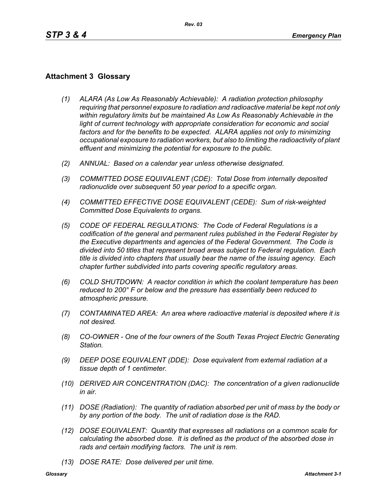## **Attachment 3 Glossary**

- *(1) ALARA (As Low As Reasonably Achievable): A radiation protection philosophy requiring that personnel exposure to radiation and radioactive material be kept not only within regulatory limits but be maintained As Low As Reasonably Achievable in the*  light of current technology with appropriate consideration for economic and social *factors and for the benefits to be expected. ALARA applies not only to minimizing occupational exposure to radiation workers, but also to limiting the radioactivity of plant effluent and minimizing the potential for exposure to the public.*
- *(2) ANNUAL: Based on a calendar year unless otherwise designated.*
- *(3) COMMITTED DOSE EQUIVALENT (CDE): Total Dose from internally deposited radionuclide over subsequent 50 year period to a specific organ.*
- *(4) COMMITTED EFFECTIVE DOSE EQUIVALENT (CEDE): Sum of risk-weighted Committed Dose Equivalents to organs.*
- *(5) CODE OF FEDERAL REGULATIONS: The Code of Federal Regulations is a codification of the general and permanent rules published in the Federal Register by the Executive departments and agencies of the Federal Government. The Code is divided into 50 titles that represent broad areas subject to Federal regulation. Each title is divided into chapters that usually bear the name of the issuing agency. Each chapter further subdivided into parts covering specific regulatory areas.*
- *(6) COLD SHUTDOWN: A reactor condition in which the coolant temperature has been reduced to 200° F or below and the pressure has essentially been reduced to atmospheric pressure.*
- *(7) CONTAMINATED AREA: An area where radioactive material is deposited where it is not desired.*
- *(8) CO-OWNER One of the four owners of the South Texas Project Electric Generating Station.*
- *(9) DEEP DOSE EQUIVALENT (DDE): Dose equivalent from external radiation at a tissue depth of 1 centimeter.*
- *(10) DERIVED AIR CONCENTRATION (DAC): The concentration of a given radionuclide in air.*
- *(11) DOSE (Radiation): The quantity of radiation absorbed per unit of mass by the body or by any portion of the body. The unit of radiation dose is the RAD.*
- *(12) DOSE EQUIVALENT: Quantity that expresses all radiations on a common scale for calculating the absorbed dose. It is defined as the product of the absorbed dose in rads and certain modifying factors. The unit is rem.*
- *(13) DOSE RATE: Dose delivered per unit time.*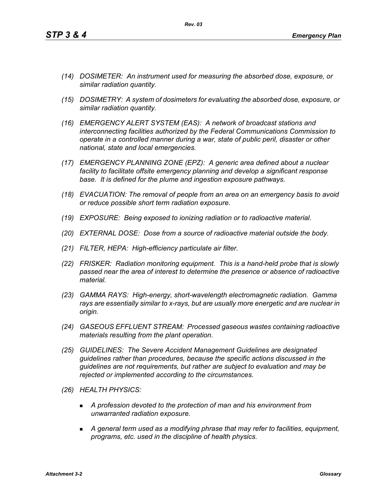- *(14) DOSIMETER: An instrument used for measuring the absorbed dose, exposure, or similar radiation quantity.*
- *(15) DOSIMETRY: A system of dosimeters for evaluating the absorbed dose, exposure, or similar radiation quantity.*
- *(16) EMERGENCY ALERT SYSTEM (EAS): A network of broadcast stations and interconnecting facilities authorized by the Federal Communications Commission to operate in a controlled manner during a war, state of public peril, disaster or other national, state and local emergencies.*
- *(17) EMERGENCY PLANNING ZONE (EPZ): A generic area defined about a nuclear facility to facilitate offsite emergency planning and develop a significant response base. It is defined for the plume and ingestion exposure pathways.*
- *(18) EVACUATION: The removal of people from an area on an emergency basis to avoid or reduce possible short term radiation exposure.*
- *(19) EXPOSURE: Being exposed to ionizing radiation or to radioactive material.*
- *(20) EXTERNAL DOSE: Dose from a source of radioactive material outside the body.*
- *(21) FILTER, HEPA: High-efficiency particulate air filter.*
- *(22) FRISKER: Radiation monitoring equipment. This is a hand-held probe that is slowly passed near the area of interest to determine the presence or absence of radioactive material.*
- *(23) GAMMA RAYS: High-energy, short-wavelength electromagnetic radiation. Gamma rays are essentially similar to x-rays, but are usually more energetic and are nuclear in origin.*
- *(24) GASEOUS EFFLUENT STREAM: Processed gaseous wastes containing radioactive materials resulting from the plant operation.*
- *(25) GUIDELINES: The Severe Accident Management Guidelines are designated guidelines rather than procedures, because the specific actions discussed in the guidelines are not requirements, but rather are subject to evaluation and may be rejected or implemented according to the circumstances.*
- *(26) HEALTH PHYSICS:*
	- *A profession devoted to the protection of man and his environment from unwarranted radiation exposure.*
	- *A general term used as a modifying phrase that may refer to facilities, equipment, programs, etc. used in the discipline of health physics.*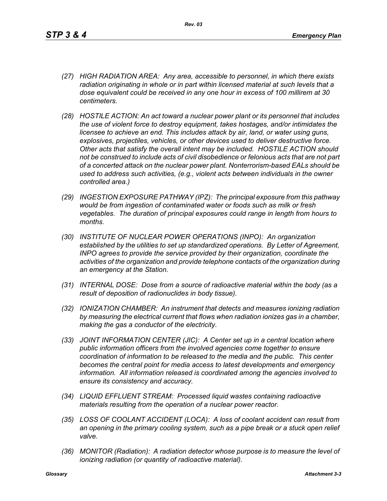- *(27) HIGH RADIATION AREA: Any area, accessible to personnel, in which there exists radiation originating in whole or in part within licensed material at such levels that a dose equivalent could be received in any one hour in excess of 100 millirem at 30 centimeters.*
- *(28) HOSTILE ACTION: An act toward a nuclear power plant or its personnel that includes the use of violent force to destroy equipment, takes hostages, and/or intimidates the licensee to achieve an end. This includes attack by air, land, or water using guns, explosives, projectiles, vehicles, or other devices used to deliver destructive force. Other acts that satisfy the overall intent may be included. HOSTILE ACTION should not be construed to include acts of civil disobedience or felonious acts that are not part of a concerted attack on the nuclear power plant. Nonterrorism-based EALs should be used to address such activities, (e.g., violent acts between individuals in the owner controlled area.)*
- *(29) INGESTION EXPOSURE PATHWAY (IPZ): The principal exposure from this pathway would be from ingestion of contaminated water or foods such as milk or fresh vegetables. The duration of principal exposures could range in length from hours to months.*
- *(30) INSTITUTE OF NUCLEAR POWER OPERATIONS (INPO): An organization established by the utilities to set up standardized operations. By Letter of Agreement, INPO agrees to provide the service provided by their organization, coordinate the activities of the organization and provide telephone contacts of the organization during an emergency at the Station.*
- *(31) INTERNAL DOSE: Dose from a source of radioactive material within the body (as a result of deposition of radionuclides in body tissue).*
- *(32) IONIZATION CHAMBER: An instrument that detects and measures ionizing radiation by measuring the electrical current that flows when radiation ionizes gas in a chamber, making the gas a conductor of the electricity.*
- *(33) JOINT INFORMATION CENTER (JIC): A Center set up in a central location where public information officers from the involved agencies come together to ensure coordination of information to be released to the media and the public. This center becomes the central point for media access to latest developments and emergency information. All information released is coordinated among the agencies involved to ensure its consistency and accuracy.*
- *(34) LIQUID EFFLUENT STREAM: Processed liquid wastes containing radioactive materials resulting from the operation of a nuclear power reactor.*
- *(35) LOSS OF COOLANT ACCIDENT (LOCA): A loss of coolant accident can result from an opening in the primary cooling system, such as a pipe break or a stuck open relief valve.*
- *(36) MONITOR (Radiation): A radiation detector whose purpose is to measure the level of ionizing radiation (or quantity of radioactive material).*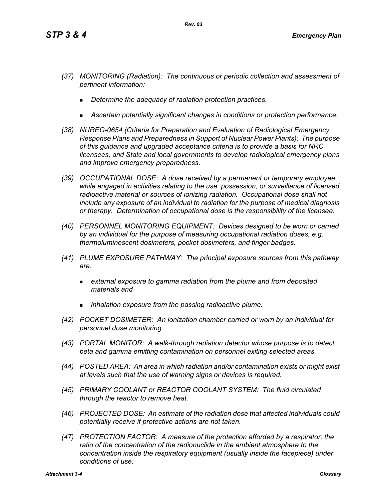- *(37) MONITORING (Radiation): The continuous or periodic collection and assessment of pertinent information:*
	- *Determine the adequacy of radiation protection practices.*
	- *Ascertain potentially significant changes in conditions or protection performance.*
- *(38) NUREG-0654 (Criteria for Preparation and Evaluation of Radiological Emergency Response Plans and Preparedness in Support of Nuclear Power Plants): The purpose of this guidance and upgraded acceptance criteria is to provide a basis for NRC licensees, and State and local governments to develop radiological emergency plans and improve emergency preparedness.*
- *(39) OCCUPATIONAL DOSE: A dose received by a permanent or temporary employee while engaged in activities relating to the use, possession, or surveillance of licensed radioactive material or sources of ionizing radiation. Occupational dose shall not include any exposure of an individual to radiation for the purpose of medical diagnosis or therapy. Determination of occupational dose is the responsibility of the licensee.*
- *(40) PERSONNEL MONITORING EQUIPMENT: Devices designed to be worn or carried by an individual for the purpose of measuring occupational radiation doses, e.g. thermoluminescent dosimeters, pocket dosimeters, and finger badges.*
- *(41) PLUME EXPOSURE PATHWAY: The principal exposure sources from this pathway are:*
	- *external exposure to gamma radiation from the plume and from deposited materials and*
	- *inhalation exposure from the passing radioactive plume.*
- *(42) POCKET DOSIMETER: An ionization chamber carried or worn by an individual for personnel dose monitoring.*
- *(43) PORTAL MONITOR: A walk-through radiation detector whose purpose is to detect beta and gamma emitting contamination on personnel exiting selected areas.*
- *(44) POSTED AREA: An area in which radiation and/or contamination exists or might exist at levels such that the use of warning signs or devices is required.*
- *(45) PRIMARY COOLANT or REACTOR COOLANT SYSTEM: The fluid circulated through the reactor to remove heat.*
- *(46) PROJECTED DOSE: An estimate of the radiation dose that affected individuals could potentially receive if protective actions are not taken.*
- *(47) PROTECTION FACTOR: A measure of the protection afforded by a respirator; the*  ratio of the concentration of the radionuclide in the ambient atmosphere to the *concentration inside the respiratory equipment (usually inside the facepiece) under conditions of use.*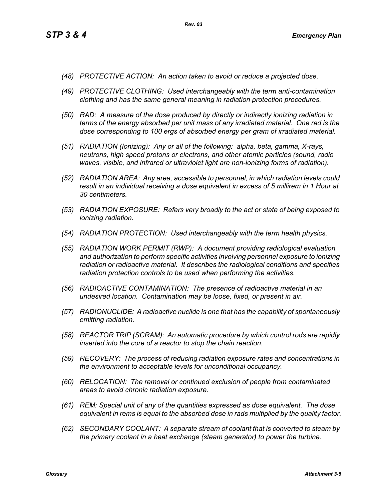- *(48) PROTECTIVE ACTION: An action taken to avoid or reduce a projected dose.*
- *(49) PROTECTIVE CLOTHING: Used interchangeably with the term anti-contamination clothing and has the same general meaning in radiation protection procedures.*
- *(50) RAD: A measure of the dose produced by directly or indirectly ionizing radiation in terms of the energy absorbed per unit mass of any irradiated material. One rad is the dose corresponding to 100 ergs of absorbed energy per gram of irradiated material.*
- *(51) RADIATION (Ionizing): Any or all of the following: alpha, beta, gamma, X-rays, neutrons, high speed protons or electrons, and other atomic particles (sound, radio waves, visible, and infrared or ultraviolet light are non-ionizing forms of radiation).*
- *(52) RADIATION AREA: Any area, accessible to personnel, in which radiation levels could result in an individual receiving a dose equivalent in excess of 5 millirem in 1 Hour at 30 centimeters.*
- *(53) RADIATION EXPOSURE: Refers very broadly to the act or state of being exposed to ionizing radiation.*
- *(54) RADIATION PROTECTION: Used interchangeably with the term health physics.*
- *(55) RADIATION WORK PERMIT (RWP): A document providing radiological evaluation and authorization to perform specific activities involving personnel exposure to ionizing radiation or radioactive material. It describes the radiological conditions and specifies radiation protection controls to be used when performing the activities.*
- *(56) RADIOACTIVE CONTAMINATION: The presence of radioactive material in an undesired location. Contamination may be loose, fixed, or present in air.*
- *(57) RADIONUCLIDE: A radioactive nuclide is one that has the capability of spontaneously emitting radiation.*
- *(58) REACTOR TRIP (SCRAM): An automatic procedure by which control rods are rapidly inserted into the core of a reactor to stop the chain reaction.*
- *(59) RECOVERY: The process of reducing radiation exposure rates and concentrations in the environment to acceptable levels for unconditional occupancy.*
- *(60) RELOCATION: The removal or continued exclusion of people from contaminated areas to avoid chronic radiation exposure.*
- *(61) REM: Special unit of any of the quantities expressed as dose equivalent. The dose equivalent in rems is equal to the absorbed dose in rads multiplied by the quality factor.*
- *(62) SECONDARY COOLANT: A separate stream of coolant that is converted to steam by the primary coolant in a heat exchange (steam generator) to power the turbine.*